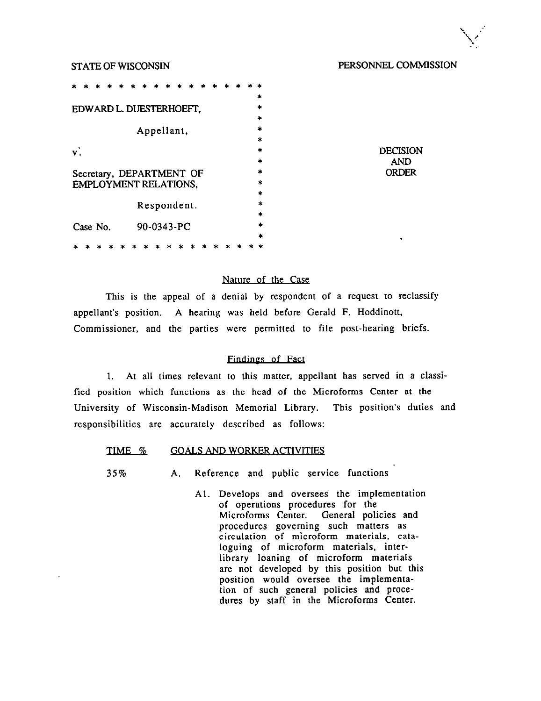# STATE OF WISCONSIN PERSONNEL COMMISSION

DECISION AND ORDER

|                                   |                                                   |  |  |  |  |  |  |             |  |   |  |  | $\ast$  |
|-----------------------------------|---------------------------------------------------|--|--|--|--|--|--|-------------|--|---|--|--|---------|
| $\ast$<br>EDWARD L. DUESTERHOEFT, |                                                   |  |  |  |  |  |  |             |  |   |  |  |         |
|                                   |                                                   |  |  |  |  |  |  |             |  |   |  |  | $\ast$  |
|                                   |                                                   |  |  |  |  |  |  |             |  |   |  |  | $\star$ |
|                                   |                                                   |  |  |  |  |  |  | Appellant,  |  |   |  |  |         |
|                                   |                                                   |  |  |  |  |  |  |             |  |   |  |  | $\ast$  |
| $\mathbf{v}$                      |                                                   |  |  |  |  |  |  |             |  |   |  |  | $\ast$  |
|                                   |                                                   |  |  |  |  |  |  |             |  |   |  |  | *       |
|                                   |                                                   |  |  |  |  |  |  |             |  |   |  |  | *       |
|                                   | Secretary, DEPARTMENT OF<br>EMPLOYMENT RELATIONS, |  |  |  |  |  |  |             |  | ÷ |  |  |         |
|                                   |                                                   |  |  |  |  |  |  |             |  |   |  |  | ×       |
|                                   |                                                   |  |  |  |  |  |  |             |  |   |  |  |         |
|                                   |                                                   |  |  |  |  |  |  | Respondent. |  |   |  |  | ×       |
|                                   |                                                   |  |  |  |  |  |  |             |  |   |  |  | *       |
|                                   | Case No.                                          |  |  |  |  |  |  | 90-0343-PC  |  |   |  |  | *       |
|                                   |                                                   |  |  |  |  |  |  |             |  |   |  |  | ×       |
|                                   |                                                   |  |  |  |  |  |  |             |  |   |  |  |         |

# Nature of the Case

This is the appeal of a denial by respondent of a request to reclassify appellant's position. A hearing was held before Gerald F. Hoddinott, Commissioner, and the parties were permitted to file post-hearing briefs,

# Findines of Fact

1. At all times relevant to this matter, appellant has served in a classified position which functions as the head of the Microforms Center at the University of Wisconsin-Madison Memorial Library. This position's duties and responsibilities are accurately described as follows:

#### TIME % GOALS AND WORKER ACTIVITIES

35% A. Reference and public service functions

Al. Develops and oversees the implementation of operations procedures for the Microforms Center. General policies and procedures governing such matters as circulation of microform materials, cataloguing of microform materials, interlibrary loaning of microform materials are not developed by this position but this position would oversee the implementation of such general policies and procedures by staff in the Microforms Center.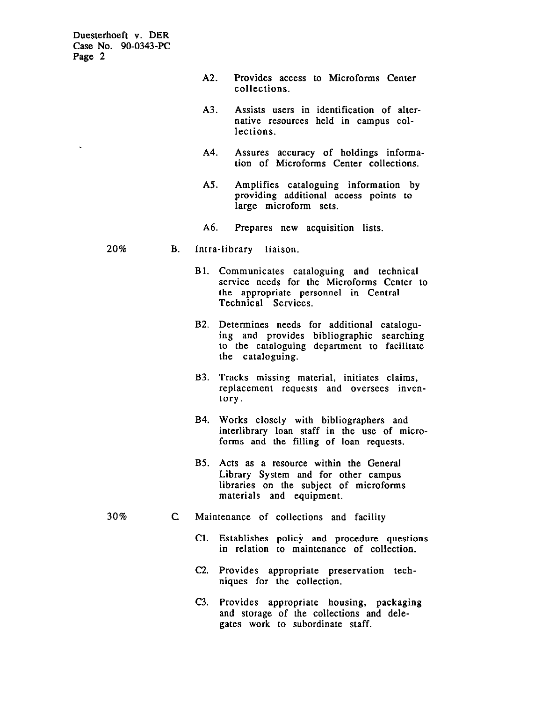| A2. |              |  | Provides access to Microforms Center |  |  |
|-----|--------------|--|--------------------------------------|--|--|
|     | collections. |  |                                      |  |  |

- A3. Assists users in identification of alternative resources held in campus collections.
- A4. Assures accuracy of holdings information of Microforms Center collections.
- AS. Amplifies cataloguing information by providing additional access points to large microform sets.
- A6. Prepares new acquisition lists.

#### 20% B. Intra-library liaison

- Bl. Communicates cataloguing and technical service needs for the Microforms Center to the appropriate personnel in Central Technical Services.
- B2. Determines needs for additional cataloguing and provides bibliographic searching to the cataloguing department to facilitate the cataloguing.
- B3. Tracks missing material, initiates claims, replacement requests and oversees inventory.
- B4. Works closely with bibliographers and interlibrary loan staff in the use of microforms and the filling of loan requests.
- B5. Acts as a resource within the General Library System and for other campus libraries on the subject of microforms materials and equipment.
- 30% c Maintenance of collections and facility
	- Cl. Establishes policy and procedure questions in relation to maintenance of collection.
	- C2. Provides appropriate preservation techniques for the collection.
	- C3. Provides appropriate housing, packaging and storage of the collections and delegates work to subordinate staff.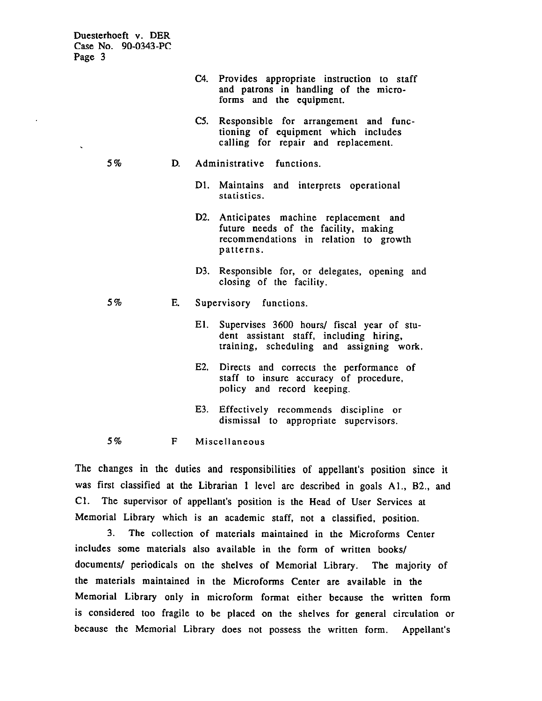|        |  | Duesterhoeft v. DER |
|--------|--|---------------------|
|        |  | Case No. 90-0343-PC |
| Page 3 |  |                     |

|    |    |     | C4. Provides appropriate instruction to staff<br>and patrons in handling of the micro-<br>forms and the equipment.                    |
|----|----|-----|---------------------------------------------------------------------------------------------------------------------------------------|
|    |    | C5. | Responsible for arrangement and func-<br>tioning of equipment which includes<br>calling for repair and replacement.                   |
| 5% | D. |     | Administrative functions.                                                                                                             |
|    |    |     | D1. Maintains and interprets operational<br>statistics.                                                                               |
|    |    |     | D2. Anticipates machine replacement and<br>future needs of the facility, making<br>recommendations in relation to growth<br>patterns. |
|    |    | D3. | Responsible for, or delegates, opening and<br>closing of the facility.                                                                |
| 5% | E. |     | Supervisory functions.                                                                                                                |
|    |    | E1. | Supervises 3600 hours/ fiscal year of stu-<br>dent assistant staff, including hiring,<br>training, scheduling and assigning work.     |
|    |    | E2. | Directs and corrects the performance of<br>staff to insure accuracy of procedure,<br>policy and record keeping.                       |
|    |    | E3. | Effectively recommends discipline or<br>dismissal to appropriate supervisors.                                                         |
| 5% | F  |     | Miscellaneous                                                                                                                         |

The changes in the duties and responsibilities of appellant's position since it was first classified at the Librarian 1 level are described in goals Al., B2., and Cl. The supervisor of appellant's position is the Head of User Services at Memorial Library which is an academic staff, not a classified. position.

3. The collection of materials maintained in the Microforms Center includes some materials also available in the form of written books/ documents/ periodicals on the shelves of Memorial Library. The majority of the materials maintained in the Microforms Center are available in the Memorial Library only in microform format either because the written form is considered too fragile to be placed on the shelves for general circulation or because the Memorial Library does not possess the written form. Appellant's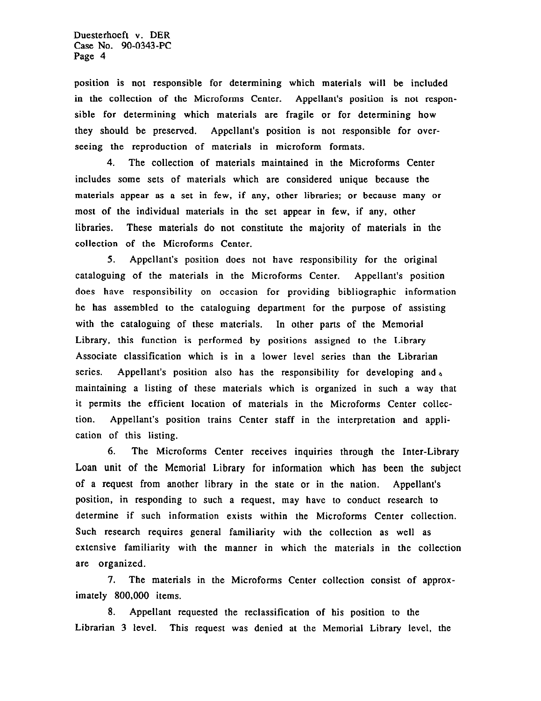position is not responsible for determining which materials will be included in the collection of the Microforms Center. Appellant's position is not responsible for determining which materials are fragile or for determining how they should be preserved. Appellant's position is not responsible for overseeing the reproduction of materials in microform formats.

4. The collection of materials maintained in the Microforms Center includes some sets of materials which are considered unique because the materials appear as a set in few, if any, other libraries; or because many or most of the individual materials in the set appear in few, if any. other libraries. These materials do not constitute the majority of materials in the collection of the Microforms Center.

5. Appellant's position does not have responsibility for the original cataloguing of the materials in the Microforms Center. Appellant's position does have responsibility on occasion for providing bibliographic information he has assembled to the cataloguing department for the purpose of assisting with the cataloguing of these materials. In other parts of the Memorial Library, this function is performed by positions assigned to the Library Associate classification which is in a lower level series than the Librarian series. Appellant's position also has the responsibility for developing and. maintaining a listing of these materials which is organized in such a way that it permits the efficient location of materials in the Microforms Center collection. Appellant's position trains Center staff in the interpretation and application of this listing.

6. The Microforms Center receives inquiries through the Inter-Library Loan unit of the Memorial Library for information which has been the subject of a request from another library in the state or in the nation. Appellant's position, in responding to such a request, may have to conduct research to determine if such information exists within the Microforms Center collection. Such research requires general familiarity with the collection as well as extensive familiarity with the manner in which the materials in the collection are organized.

I. The materials in the Microforms Center collection consist of approximately 800,000 items.

8. Appellant requested the reclassification of his position to the Librarian 3 level. This request was denied at the Memorial Library level, the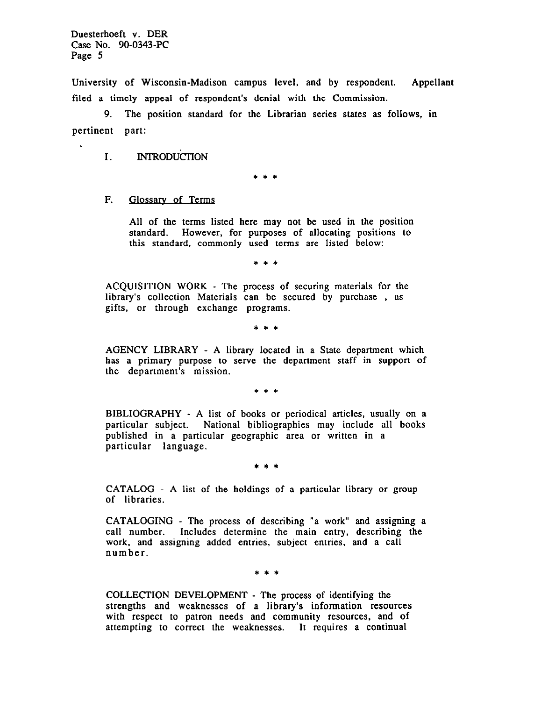University of Wisconsin-Madison campus level, and by respondent. Appellant filed a timely appeal of respondent's denial with the Commission.

9. The position standard for the Librarian series states as follows, in pertinent part:

I. INTRODUCIION

\*\*\*

F. Glossary of Terms

All of the terms listed here may not be used in the position standard. However, for purposes of allocating positions to this standard, commonly used terms are listed below:

\*\*\*

ACQUISITION WORK - The process of securing materials for the library's collection Materials can be secured by purchase , as gifts, or through exchange programs.

\*\*\*

AGENCY LIBRARY - A library located in a State department which has a primary purpose to serve the department staff in support of the department's mission.

\*\*\*

BIBLIOGRAPHY - A list of books or periodical articles, usually on a particular subject. National bibliographies may include all books published in a particular geographic area or written in a particular language.

\*\*\*

CATALOG - A list of the holdings of a particular library or group of libraries.

CATALOGING - The process of describing "a work" and assigning a call number. Includes determine the main entry, describing the work, and assigning added entries. subject entries, and a call number.

\*\*\*

COLLECTION DEVELOPMENT - The process of identifying the strengths and weaknesses of a library's information resources with respect to patron needs and community resources, and of attempting to correct the weaknesses. It requires a continual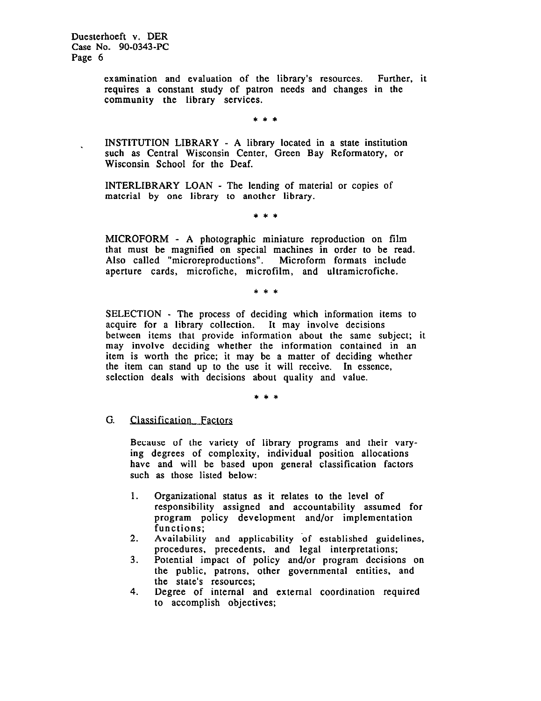> examination and evaluation of the library's resources. Further, it requires a constant study of patron needs and changes in the community the library services.

> > \*\*\*

INSTITUTION LIBRARY - A library located in a state institution such as Central Wisconsin Center, Green Bay Reformatory, or Wisconsin School for the Deaf.

INTERLIBRARY LOAN - The lending of material or copies of material by one library to another library.

\*\*\*

MICROFORM - A photographic miniature reproduction on film that must be magnified on special machines in order to be read. Also called "microreproductions". Microform formats include aperture cards, microfiche, microfilm, and ultramicrofiche.

\*\*\*

SELECTION - The process of deciding which information items to acquire for a library collection. It may involve decisions between items that provide information about the same subject; it may involve deciding whether the information contained in an item is worth the price; it may be a matter of deciding whether the item can stand up to the use it will receive. In essence, selection deals with decisions about quality and value.

\*\*\*

# G. Classification Factors

Because of the variety of library programs and their varying degrees of complexity, individual position allocations have and will be based upon general classification factors such as those listed below:

- 1. Organizational status as it relates to the level of responsibility assigned and accountability assumed for program policy development and/or implementation functions;
- 2. Availability and applicability of established guidelines, procedures, precedents, and legal interpretations;
- 3. Potential impact of policy and/or program decisions on the public, patrons, other governmental entities, and the state's resources;
- 4. Degree of internal and external coordination required to accomplish objectives;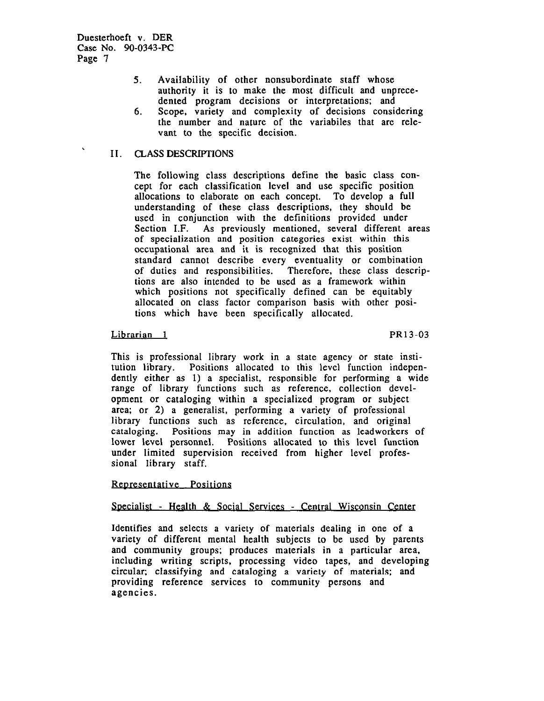- 5. Availability of other nonsubordinate staff whose authority it is to make the most difficult and unprecedented program decisions or interpretations; and
- 6. Scope, variety and complexity of decisions considering the number and nature of the variabiles that are relevant to the specific decision.

# II. CLASS DESCRIPTIONS

The following class descriptions define the basic class concept for each classification level and use specific position allocations to elaborate on each concept. To develop a full understanding of these class descriptions, they should be used in conjunction with the definitions provided under Section I.F. As previously mentioned, several different areas of specialization and position categories exist within this occupational area and it is recognized that this position standard cannot describe every eventuality or combination of duties and responsibilities. Therefore, these class descriptions are also intended to be used as a framework within which positions not specifically defined can be equitably allocated on class factor comparison basis with other positions which have been specifically allocated.

## Librarian 1 PR13-03

This is professional library work in a state agency or state institution library. Positions allocated to this level function independently either as 1) a specialist, responsible for performing a wide range of library functions such as reference, collection development or cataloging within a specialized program or subject area; or 2) a generalist, performing a variety of professional library functions such as reference, circulation, and original cataloging. Positions may in addition function as leadworkers of lower level personnel. Positions allocated to this level function under limited supervision received from higher level professional library staff.

#### Representative Positions

# Specialist - Health & Social Services - Central Wisconsin Center

Identifies and selects a variety of materials dealing in one of a variety of different mental health subjects to be used by parents and community groups; produces materials in a particular area, including writing scripts, processing video tapes, and developing circular; classifying and cataloging a variety of materials; and providing reference services to community persons and agencies.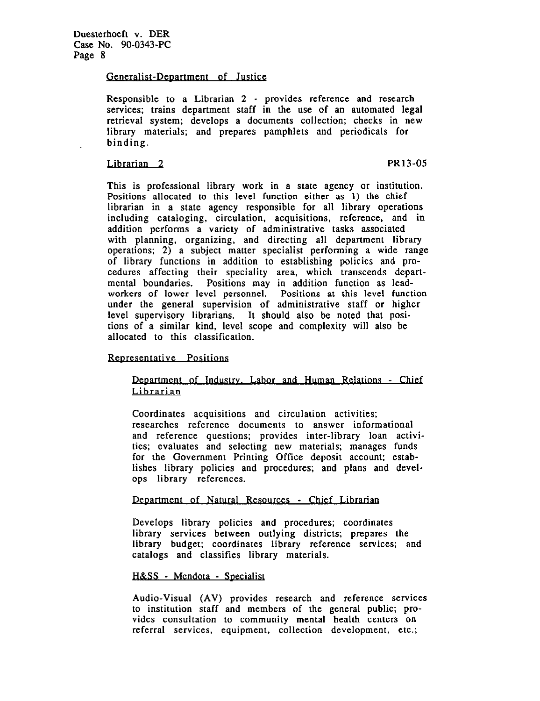# Generalist-Department of Justice

Responsible to a Librarian 2 - provides reference and research services; trains department staff in the use of an automated legal retrieval system; develops a documents collection; checks in new library materials; and prepares pamphlets and periodicals for binding.

## Librarian 2 PR13-05

This is professional library work in a state agency or institution. Positions allocated to this level function either as 1) the chief librarian in a state agency responsible for all library operations including cataloging, circulation, acquisitions, reference, and in addition performs a variety of administrative tasks associated with planning, organizing, and directing all department library operations; 2) a subject matter specialist performing a wide range of library functions in addition to establishing policies and procedures affecting their speciality area, which transcends departmental boundaries. Positions may in addition function as leadworkers of lower level personnel. Positions at this level function under the general supervision of administrative staff or higher level supervisory librarians. It should also be noted that positions of a similar kind, level scope and complexity will also be allocated to this classification.

# Reoresentative Positions

# Deoartment of Industrv. Labor and Human Relations - Chief Librarian

Coordinates acquisitions and circulation activities; researches reference documents to answer informational and reference questions; provides inter-library loan activities; evaluates and selecting new materials; manages funds for the Government Printing Office deposit account; establishes library policies and procedures; and plans and develops library references.

# Department of Natural Resources - Chief Librarian

Develops library policies and procedures; coordinates library services between outlying districts; prepares the library budget; coordinates library reference services; and catalogs and classifies library materials.

#### H&SS - Mendota - Specialist

Audio-Visual (AV) provides research and reference services to institution staff and members of the general public; provides consultation to community mental health centers on referral services, equipment, collection development, etc.;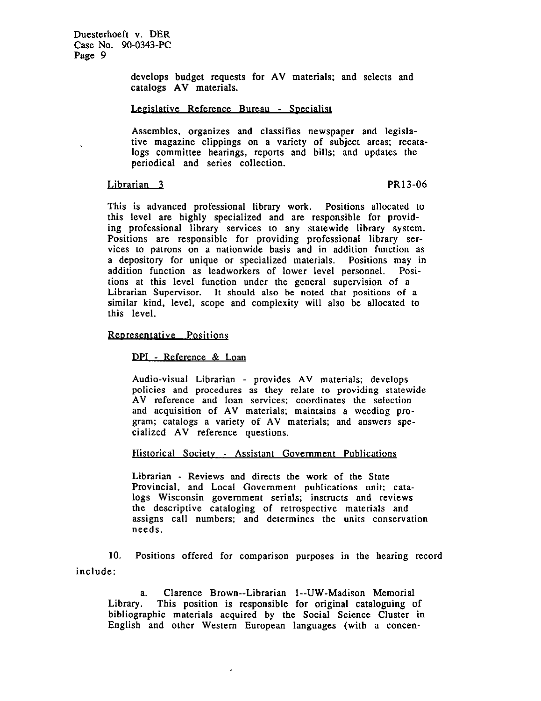> develops budget requests for AV materials; and selects and catalogs AV materials.

#### Legislative Reference Bureau - Specialist

Assembles, organizes and classifies newspaper and legislative magazine clippings on a variety of subject areas; recatalogs committee hearings, reports and bills; and updates the periodical and series collection.

#### Librarian 3 PR13-06

This is advanced professional library work. Positions allocated to this level are highly specialized and are responsible for providing professional library services to any statewide library system. Positions are responsible for providing professional library services to patrons on a nationwide basis and in addition function as a depository for unique or specialized materials. Positions may in addition function as leadworkers of lower level personnel. Positions at this level function under the general supervision of a Librarian Supervisor. It should also be noted that positions of a similar kind, level, scope and complexity will also be allocated to this level.

## Reoresentative Positions

DPI - Reference & Loan

Audio-visual Librarian - provides AV materials; develops policies and procedures as they relate to providing statewide AV reference and loan services; coordinates the selection and acquisition of AV materials; maintains a weeding program; catalogs a variety of AV materials; and answers specialized AV reference questions.

#### Historical Society - Assistant Government Publications

Librarian - Reviews and directs the work of the State Provincial, and Local Government publications unit; catalogs Wisconsin government serials; instructs and reviews the descriptive cataloging of retrospective materials and assigns call numbers; and determines the units conservation needs.

10. Positions offered for comparison purposes in the hearing record include:

a. Clarence Brown--Librarian 1--UW-Madison Memorial Library. This position is responsible for original cataloguing of bibliographic materials acquired by the Social Science Cluster in English and other Western European languages (with a concen-

 $\ddot{\phantom{0}}$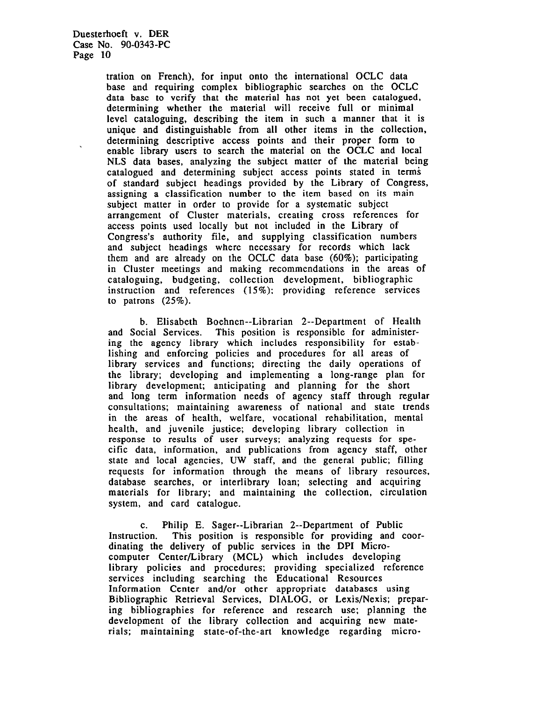tration on French), for input onto the international OCLC data base and requiring complex bibliographic searches on the OCLC data base to verify that the material has not yet been catalogued, determining whether the material will receive full or minimal level cataloguing. describing the item in such a manner that it is unique and distinguishable from all other items in the collection, determining descriptive access points and their proper form to enable library users to search the material on the OCLC and local NLS data bases, analyzing the subject matter of the material being catalogued and determining subject access points stated in terms of standard subject headings provided by the Library of Congress, assigning a classification number to the item based on its main subject matter in order to provide for a systematic subject arrangement of Cluster materials, creating cross references for access points used locally but not included in the Library of Congress's authority file, and supplying classification numbers and subject headings where necessary for records which lack them and are already on the OCLC data base (60%); participating in Cluster meetings and making recommendations in the areas of cataloguing. budgeting, collection development, bibliographic instruction and references (15%); providing reference services to patrons  $(25\%)$ .

b. Elisabeth Boehnen--Librarian 2--Department of Health and Social Services. This position is responsible for administering the agency library which includes responsibility for establishing and enforcing policies and procedures for all areas of library services and functions; directing the daily operations of the library; developing and implementing a long-range plan for library development; anticipating and planning for the short and long term information needs of agency staff through regular consultations; maintaining awareness of national and state trends in the areas of health, welfare, vocational rehabilitation, mental health, and juvenile justice; developing library collection in response to results of user surveys; analyzing requests for specific data, information, and publications from agency staff, other state and local agencies, UW staff, and the general public; filling requests for information through the means of library resources, database searches, or interlibrary loan; selecting and acquiring materials for library; and maintaining the collection, circulation system, and card catalogue.

C. Philip E. Sager--Librarian 2--Department of Public Instruction. This position is responsible for providing and coordinating the delivery of public services in the DPI Microcomputer Center/Library (MCL) which includes developing library policies and procedures; providing specialized reference services including searching the Educational Resources Information Center and/or other appropriate databases using Bibliographic Retrieval Services, DIALOG, or Lexis/Nexis; preparing bibliographies for reference and research use: planning the development of the library collection and acquiring new materials; maintaining state-of-the-art knowledge regarding micro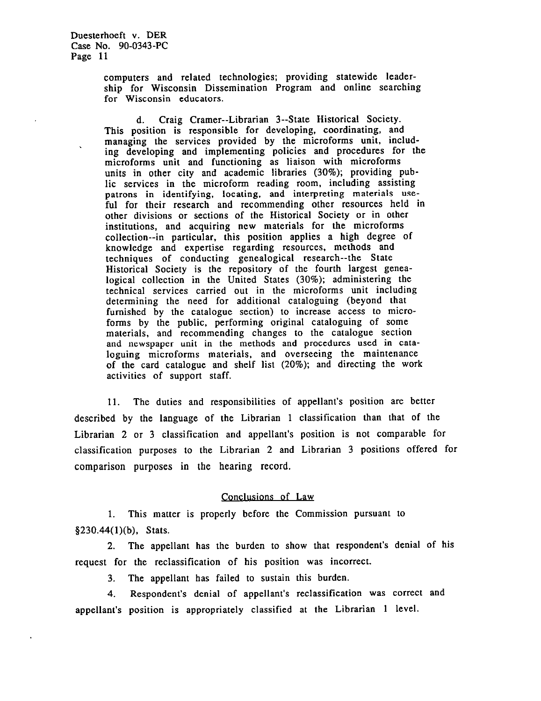computers and related technologies; providing statewide leadership for Wisconsin Dissemination Program and online searching for Wisconsin educators.

d. Craig Cramer--Librarian 3--State Historical Society. This position is responsible for developing, coordinating, and managing the services provided by the microforms unit, including developing and implementing policies and procedures for the microforms unit and functioning as liaison with microforms units in other city and academic libraries (30%); providing public services in the microform reading room, including assisting patrons in identifying, locating, and interpreting materials useful for their research and recommending other resources held in other divisions or sections of the Historical Society or in other institutions, and acquiring new materials for the microforms collection--in particular, this position applies a high degree of knowledge and expertise regarding resources, methods and techniques of conducting genealogical research--the State Historical Society is the repository of the fourth largest genealogical collection in the United States (30%); administering the technical services carried out in the microforms unit including determining the need for additional cataloguing (beyond that furnished by the catalogue section) to increase access to microforms by the public, performing original cataloguing of some materials, and recommending changes to the catalogue section and newspaper unit in the methods and procedures used in cataloguing microforms materials, and overseeing the maintenance of the card catalogue and shelf list (20%); and directing the work activities of support staff.

11. The duties and responsibilities of appellant's position are better described by the language of the Librarian 1 classification than that of the Librarian 2 or 3 classification and appellant's position is not comparable for classification purposes to the Librarian 2 and Librarian 3 positions offered for comparison purposes in the hearing record.

# Conclusions of Law

1. This matter is properly before the Commission pursuant to 8230.44(1)(b). Stats.

2. The appellant has the burden to show that respondent's denial of his request for the reclassification of his position was incorrect.

3. The appellant has failed to sustain this burden.

4. Respondent's denial of appellant's reclassification was correct and appellant's position is appropriately classified at the Librarian 1 level.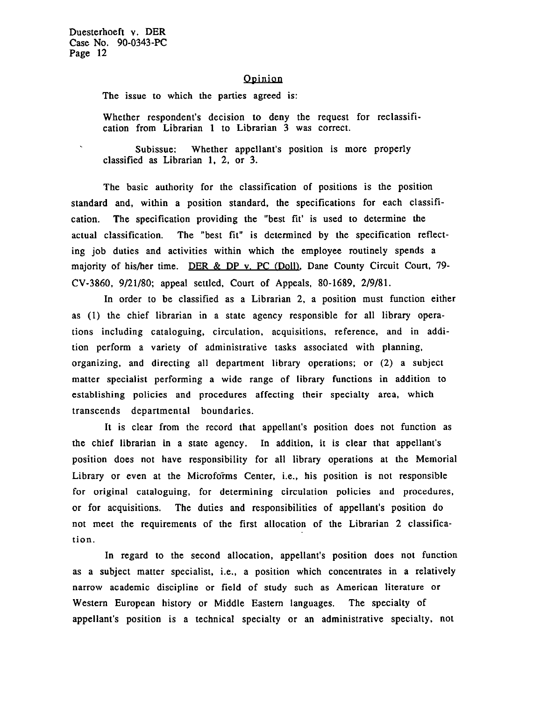$\mathbf{x}$ 

#### Opinion

The issue to which the parties agreed is:

Whether respondent's decision to deny the request for reclassification from Librarian 1 to Librarian 3 was correct.

Subissue: Whether appellant's position is more properly classified as Librarian 1. 2. or 3.

The basic authority for the classification of positions is the position standard and, within a position standard, the specifications for each classification. The specification providing the "best fit' is used to determine the actual classification. The "best fit" is determined by the specification reflecting job duties and activities within which the employee routinely spends a majority of his/her time. DER & DP v. PC (Doll), Dane County Circuit Court, 79-CV-3860, g/21/80; appeal settled, Court of Appeals, 80-1689, 2/g/81.

In order to be classified as a Librarian 2. a position must function either as (1) the chief librarian in a state agency responsible for all library operations including cataloguing. circulation, acquisitions. reference, and in addition perform a variety of administrative tasks associated with planning, organizing. and directing all department library operations; or (2) a subject matter specialist performing a wide range of library functions in addition to establishing policies and procedures affecting their specialty area, which transcends departmental boundaries.

It is clear from the record that appellant's position does not function as the chief librarian in a state agency. In addition, it is clear that appellant's position does not have responsibility for all library operations at the Memorial Library or even at the Microforms Center, i.e., his position is not responsible for original cataloguing, for determining circulation policies and procedures, or for acquisitions. The duties and responsibilities of appellant's position do not meet the requirements of the first allocation of the Librarian 2 classification.

In regard to the second allocation, appellant's position does not function as a subject matter specialist, i.e., a position which concentrates in a relatively narrow academic discipline or field of study such as American literature or Western European history or Middle Eastern languages. The specialty of appellant's position is a technical specialty or an administrative specialty, not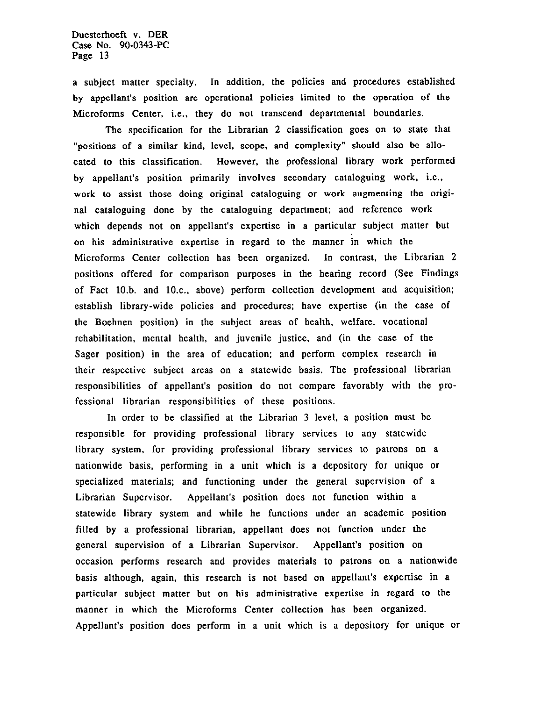a subject matter specialty. In addition, the policies and procedures established by appellant's position are operational policies limited to the operation of the Microforms Center, i.e., they do not transcend departmental boundaries.

The specification for the Librarian 2 classification goes on to state that "positions of a similar kind, level. scope, and complexity" should also be allocated to this classification. However, the professional library work performed by appellant's position primarily involves secondary cataloguing work, i.e., work to assist those doing original cataloguing or work augmenting the original cataloguing done by the cataloguing department; and reference work which depends not on appellant's expertise in a particular subject matter but on his administrative expertise in regard to the manner in which the Microforms Center collection has been organized. In contrast, the Librarian 2 positions offered for comparison purposes in the hearing record (See Findings of Fact 10.b. and lO.c., above) perform collection development and acquisition; establish library-wide policies and procedures; have expertise (in the case of the Boehnen position) in the subject areas of health, welfare, vocational rehabilitation, mental health, and juvenile justice, and (in the case of the Sager position) in the area of education; and perform complex research in their respective subject areas on a statewide basis. The professional librarian responsibilities of appellant's position do not compare favorably with the professional librarian responsibilities of these positions.

In order to be classified at the Librarian 3 level, a position must be responsible for providing professional library services to any statewide library system, for providing professional library services to patrons on a nationwide basis, performing in a unit which is a depository for unique or specialized materials; and functioning under the general supervision of a Librarian Supervisor. Appellant's position does not function within a statewide library system and while he functions under an academic position filled by a professional librarian, appellant does not function under the general supervision of a Librarian Supervisor. Appellant's position on occasion performs research and provides materials to patrons on a nationwide basis although, again, this research is not based on appellant's expertise in a particular subject matter but on his administrative expertise in regard to the manner in which the Microforms Center collection has been organized. Appellant's position does perform in a unit which is a depository for unique or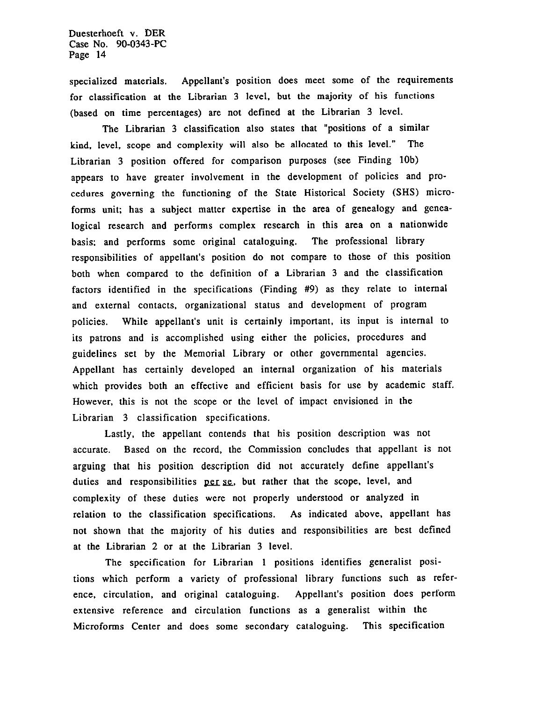specialized materials. Appellant's position does meet some of the requirements for classification at the Librarian 3 level, but the majority of his functions (based on time percentages) are not defined at the Librarian 3 level.

The Librarian 3 classification also states that "positions of a similar kind, level, scope and complexity will also be allocated to this level." The Librarian 3 position offered for comparison purposes (see Finding 10b) appears to have greater involvement in the development of policies and procedures governing the functioning of the State Historical Society (SHS) microforms unit; has a subject matter expertise in the area of genealogy and genealogical research and performs complex research in this area on a nationwide basis; and performs some original cataloguing. The professional library responsibilities of appellant's position do not compare to those of this position both when compared to the definition of a Librarian 3 and the classification factors identified in the specifications (Finding #9) as they relate to internal and external contacts, organizational status and development of program policies. While appellant's unit is certainly important, its input is internal to its patrons and is accomplished using either the policies, procedures and guidelines set by the Memorial Library or other governmental agencies. Appellant has certainly developed an internal organization of his materials which provides both an effective and efficient basis for use by academic staff. However, this is not the scope or the level of impact envisioned in the Librarian 3 classification specifications.

Lastly, the appellant contends that his position description was not accurate. Based on the record, the Commission concludes that appellant is not arguing that his position description did not accurately define appellant's duties and responsibilities per se, but rather that the scope, level, and complexity of these duties were not properly understood or analyzed in relation to the classification specifications. As indicated above, appellant has not shown that the majority of his duties and responsibilities are best defined at the Librarian 2 or at the Librarian 3 level.

The specification for Librarian 1 positions identifies generalist positions which perform a variety of professional library functions such as reference, circulation, and original cataloguing. Appellant's position does perform extensive reference and circulation functions as a generalist within the Microforms Center and does some secondary cataloguing. This specification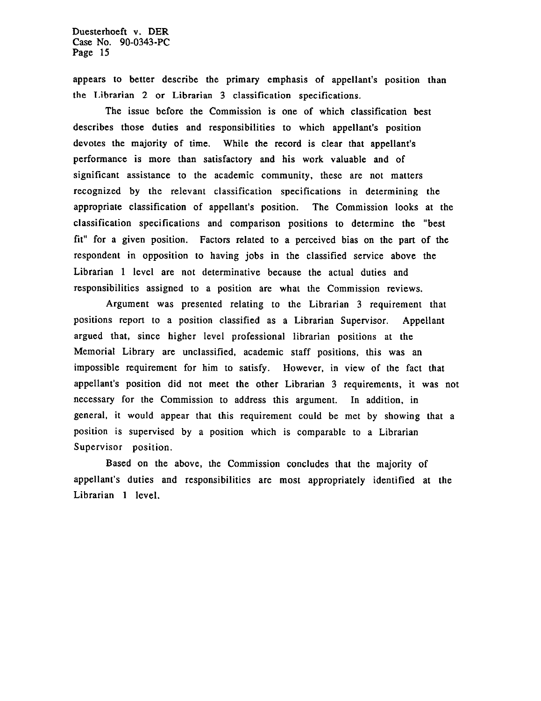appears to better describe the primary emphasis of appellant's position than the Librarian 2 or Librarian 3 classification specifications.

The issue before the Commission is one of which classification best describes those duties and responsibilities to which appellant's position devotes the majority of time. While the record is clear that appellant's performance is more than satisfactory and his work valuable and of significant assistance to the academic community, these are not matters recognized by the relevant classification specifications in determining the appropriate classification of appellant's position. The Commission looks at the classification specifications and comparison positions to determine the "best fit" for a given position. Factors related to a perceived bias on the part of the respondent in opposition to having jobs in the classified service above the Librarian 1 level are not determinative because the actual duties and responsibilities assigned to a position are what the Commission reviews.

Argument was presented relating to the Librarian 3 requirement that positions report to a position classified as a Librarian Supervisor. Appellant argued that, since higher level professional librarian positions at the Memorial Library are unclassified, academic staff positions, this was an impossible requirement for him to satisfy. However, in view of the fact that appellant's position did not meet the other Librarian 3 requirements, it was not necessary for the Commission to address this argument. In addition, in general, it would appear that this requirement could be met by showing that a position is supervised by a position which is comparable to a Librarian Supervisor position.

Based on the above, the Commission concludes that the majority of appellant's duties and responsibilities are most appropriately identified at the Librarian 1 level.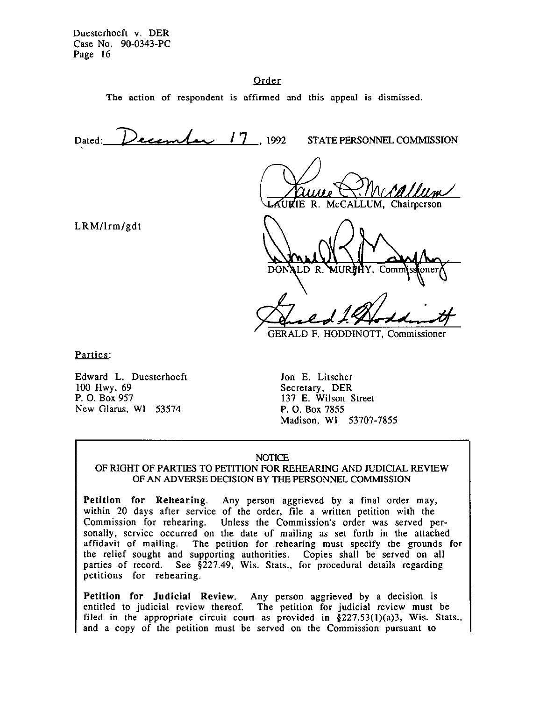# Order

The action of respondent is affirmed and this appeal is dismissed.

Dated: December 17, 1992 STATE PERSONNEL COMMISSION McCALLUM, Chairperson LRM/lrm/gdt DONALD R.

**GERALD F. HODDINOTT, Commissioner** 

Parties:

Edward L. Duesterhoeft 100 Hwy. 69 P. 0. Box 951 New Glarus, WI 53574

Jon E. Litscher Secretary. DER 137 E. Wilson Street P. 0. Box 7855 Madison, WI 53707-7855

#### **NOTICE**

# OF RIGHT OF PARTIES TO PETITION FOR REHEARING AND JUDICIAL REVIEW OF AN ADVERSE DECISION BY THE PERSONNEL COMMISSION

Petition for Rehearing. Any person aggrieved by a final order may, within 20 days after service of the order, file a written petition with the Commission for rehearing. Unless the Commission's order was served personally, service occurred on the date of mailing as set forth in the attached affidavit of mailing. The petition for rehearing must specify the grounds for the relief sought and supporting authorities. Copies shall be served on all parties of record. See §227.49, Wis. Stats., for procedural details regarding petitions for rehearing.

Petition for Judicial Review. Any person aggrieved by a decision is entitled to judicial review thereof. The petition for judicial review must be filed in the appropriate circuit court as provided in  $\S 227.53(1)(a)3$ , Wis. Stats., and a copy of the petition must be served on the Commission pursuant to